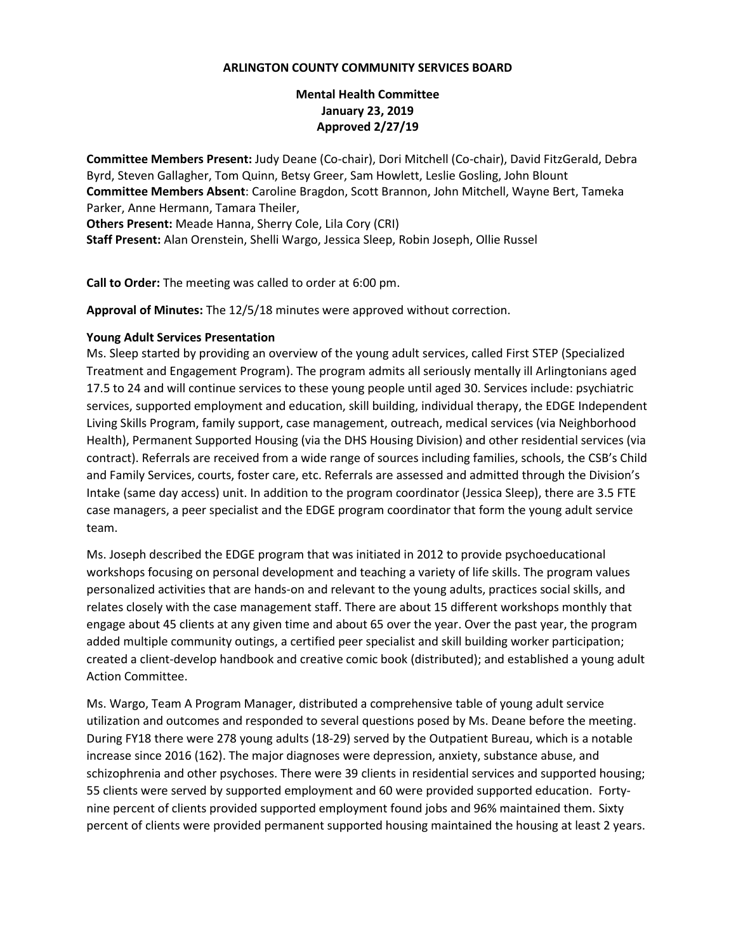#### **ARLINGTON COUNTY COMMUNITY SERVICES BOARD**

# **Mental Health Committee January 23, 2019 Approved 2/27/19**

**Committee Members Present:** Judy Deane (Co-chair), Dori Mitchell (Co-chair), David FitzGerald, Debra Byrd, Steven Gallagher, Tom Quinn, Betsy Greer, Sam Howlett, Leslie Gosling, John Blount **Committee Members Absent**: Caroline Bragdon, Scott Brannon, John Mitchell, Wayne Bert, Tameka Parker, Anne Hermann, Tamara Theiler,

**Others Present:** Meade Hanna, Sherry Cole, Lila Cory (CRI) **Staff Present:** Alan Orenstein, Shelli Wargo, Jessica Sleep, Robin Joseph, Ollie Russel

**Call to Order:** The meeting was called to order at 6:00 pm.

**Approval of Minutes:** The 12/5/18 minutes were approved without correction.

### **Young Adult Services Presentation**

Ms. Sleep started by providing an overview of the young adult services, called First STEP (Specialized Treatment and Engagement Program). The program admits all seriously mentally ill Arlingtonians aged 17.5 to 24 and will continue services to these young people until aged 30. Services include: psychiatric services, supported employment and education, skill building, individual therapy, the EDGE Independent Living Skills Program, family support, case management, outreach, medical services (via Neighborhood Health), Permanent Supported Housing (via the DHS Housing Division) and other residential services (via contract). Referrals are received from a wide range of sources including families, schools, the CSB's Child and Family Services, courts, foster care, etc. Referrals are assessed and admitted through the Division's Intake (same day access) unit. In addition to the program coordinator (Jessica Sleep), there are 3.5 FTE case managers, a peer specialist and the EDGE program coordinator that form the young adult service team.

Ms. Joseph described the EDGE program that was initiated in 2012 to provide psychoeducational workshops focusing on personal development and teaching a variety of life skills. The program values personalized activities that are hands-on and relevant to the young adults, practices social skills, and relates closely with the case management staff. There are about 15 different workshops monthly that engage about 45 clients at any given time and about 65 over the year. Over the past year, the program added multiple community outings, a certified peer specialist and skill building worker participation; created a client-develop handbook and creative comic book (distributed); and established a young adult Action Committee.

Ms. Wargo, Team A Program Manager, distributed a comprehensive table of young adult service utilization and outcomes and responded to several questions posed by Ms. Deane before the meeting. During FY18 there were 278 young adults (18-29) served by the Outpatient Bureau, which is a notable increase since 2016 (162). The major diagnoses were depression, anxiety, substance abuse, and schizophrenia and other psychoses. There were 39 clients in residential services and supported housing; 55 clients were served by supported employment and 60 were provided supported education. Fortynine percent of clients provided supported employment found jobs and 96% maintained them. Sixty percent of clients were provided permanent supported housing maintained the housing at least 2 years.